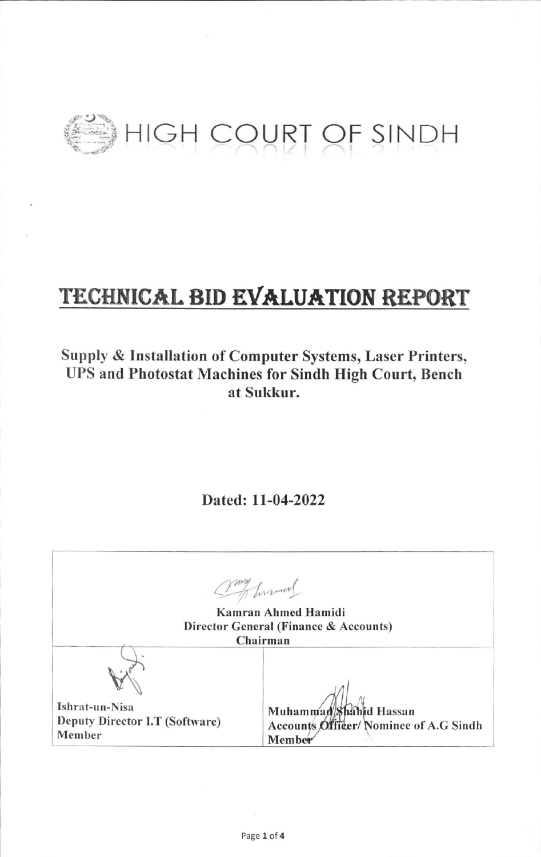

# TECHNICAL BID EVALUATION REPORT

## Supply & Installation of Computer Systems, Laser Printers, **UPS and Photostat Machines for Sindh High Court, Bench** at Sukkur.

Dated: 11-04-2022

my humans Kamran Ahmed Hamidi Director General (Finance & Accounts) Chairman Ishrat-un-Nisa Muhammad Shahid Hassan Deputy Director I.T (Software) Accounts Officer/Nominee of A.G Sindh Member Member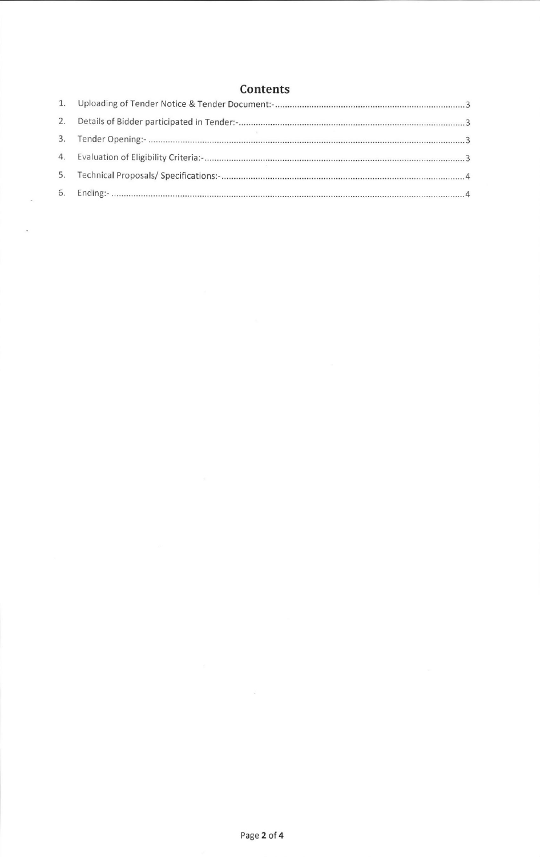### **Contents**

| 2. |  |
|----|--|
|    |  |
| 4. |  |
| 5. |  |
| 6. |  |

 $\epsilon$ 

 $\ddot{\phantom{a}}$ 

 $\frac{1}{\sqrt{2}}$